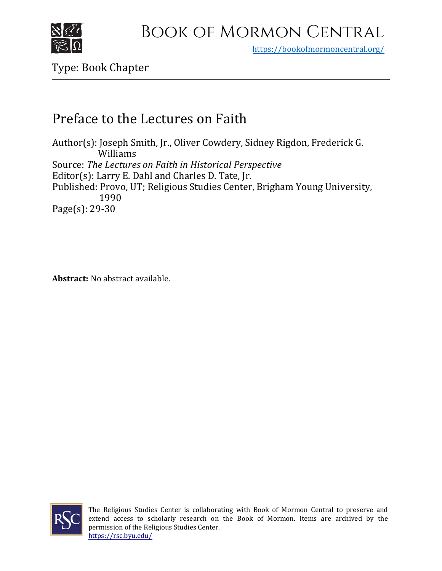

https[://bookofmormoncentral.org/](https://bookofmormoncentral.org/)

Type: Book Chapter

## Preface to the Lectures on Faith

Author(s): Joseph Smith, Jr., Oliver Cowdery, Sidney Rigdon, Frederick G. Williams Source: *The Lectures on Faith in Historical Perspective* Editor(s): Larry E. Dahl and Charles D. Tate, Jr. Published: Provo, UT; Religious Studies Center, Brigham Young University, 1990 Page(s): 29-30

**Abstract:** No abstract available.



The Religious Studies Center is collaborating with Book of Mormon Central to preserve and extend access to scholarly research on the Book of Mormon. Items are archived by the permission of the Religious Studies Center. <https://rsc.byu.edu/>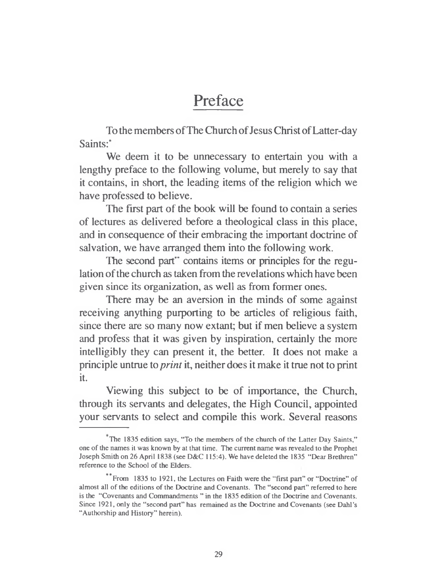## Preface

To the members of The Church of Jesus Christ of Latter-day Saints:\*

We deem it to be unnecessary to entertain you with a lengthy preface to the following volume, but merely to say that it contains, in short, the leading items of the religion which we have professed to believe.

The first part of the book will be found to contain a series of lectures as delivered before a theological class in this place, and in consequence of their embracing the important doctrine of salvation, we have arranged them into the following work.

The second part" contains items or principles for the regulation of the church as taken from the revelations which have been given since its organization, as well as from former ones.

There may be an aversion in the minds of some against receiving anything purporting to be articles of religious faith, since there are so many now extant; but if men believe a system and profess that it was given by inspiration, certainly the more intelligibly they can present it, the better. It does not make a principle untrue to *print* it, neither does it make it true not to print it.

Viewing this subject to be of importance, the Church, through its servants and delegates, the High Council, appointed your servants to select and compile this work. Several reasons

The 1835 edition says, "To the members of the church of the Latter Day Saints," one of the names it was known by at that time. The current name was revealed to the Prophet Joseph Smith on 26 April 1838 (see D&C 115:4). We have deleted the 1835 "Dear Brethren" reference to the School of the Elders.

From 1835 to 1921, the Lectures on Faith were the "first part" or "Doctrine" of almost all of the editions of the Doctrine and Covenants. The "second part" referred to here is the "Covenants and Commandments" in the 1835 edition of the Doctrine and Covenants. Since 1921, only the "second part" has remained as the Doctrine and Covenants (see Dahl's "Authorship and History" herein).